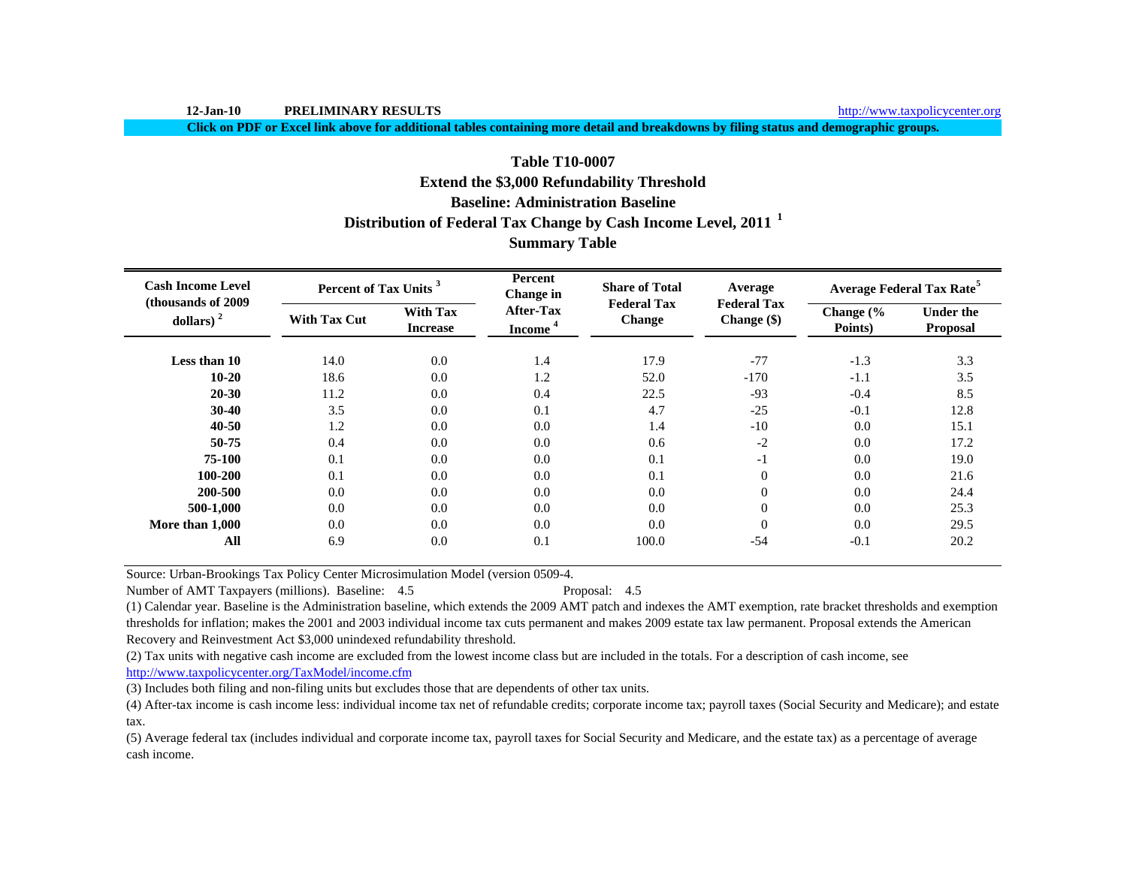**12-Jan-10 PRELIMINARY RESULTS**

**Click on PDF or Excel link above for additional tables containing more detail and breakdowns by filing status and demographic groups.**

## **Table T10-0007**

# **Extend the \$3,000 Refundability Threshold**

## **Baseline: Administration Baseline**

# **Distribution of Federal Tax Change by Cash Income Level, 2011 <sup>1</sup>**

# **Summary Table**

| <b>Cash Income Level</b><br>(thousands of 2009) | Percent of Tax Units <sup>3</sup> |                                    | Percent<br>Change in             | <b>Share of Total</b><br><b>Federal Tax</b> | Average<br><b>Federal Tax</b> |                      | <b>Average Federal Tax Rate<sup>5</sup></b> |
|-------------------------------------------------|-----------------------------------|------------------------------------|----------------------------------|---------------------------------------------|-------------------------------|----------------------|---------------------------------------------|
| dollars) $2$                                    | <b>With Tax Cut</b>               | <b>With Tax</b><br><b>Increase</b> | After-Tax<br>Income <sup>4</sup> | Change                                      | Change $(\$)$                 | Change (%<br>Points) | <b>Under the</b><br>Proposal                |
| Less than 10                                    | 14.0                              | 0.0                                | 1.4                              | 17.9                                        | $-77$                         | $-1.3$               | 3.3                                         |
| $10 - 20$                                       | 18.6                              | 0.0                                | 1.2                              | 52.0                                        | $-170$                        | $-1.1$               | 3.5                                         |
| 20-30                                           | 11.2                              | 0.0                                | 0.4                              | 22.5                                        | $-93$                         | $-0.4$               | 8.5                                         |
| $30 - 40$                                       | 3.5                               | 0.0                                | 0.1                              | 4.7                                         | $-25$                         | $-0.1$               | 12.8                                        |
| 40-50                                           | 1.2                               | 0.0                                | 0.0                              | 1.4                                         | $-10$                         | 0.0                  | 15.1                                        |
| 50-75                                           | 0.4                               | 0.0                                | 0.0                              | 0.6                                         | $-2$                          | 0.0                  | 17.2                                        |
| 75-100                                          | 0.1                               | 0.0                                | 0.0                              | 0.1                                         | $-1$                          | 0.0                  | 19.0                                        |
| 100-200                                         | 0.1                               | 0.0                                | 0.0                              | 0.1                                         | $\theta$                      | 0.0                  | 21.6                                        |
| 200-500                                         | 0.0                               | 0.0                                | 0.0                              | 0.0                                         | $\mathbf{0}$                  | 0.0                  | 24.4                                        |
| 500-1,000                                       | 0.0                               | 0.0                                | 0.0                              | 0.0                                         | $\mathbf{0}$                  | 0.0                  | 25.3                                        |
| More than 1,000                                 | 0.0                               | 0.0                                | 0.0                              | 0.0                                         | $\overline{0}$                | 0.0                  | 29.5                                        |
| All                                             | 6.9                               | 0.0                                | 0.1                              | 100.0                                       | $-54$                         | $-0.1$               | 20.2                                        |

Source: Urban-Brookings Tax Policy Center Microsimulation Model (version 0509-4.

Number of AMT Taxpayers (millions). Baseline: 4.5 Proposal: 4.5

(1) Calendar year. Baseline is the Administration baseline, which extends the 2009 AMT patch and indexes the AMT exemption, rate bracket thresholds and exemption thresholds for inflation; makes the 2001 and 2003 individual income tax cuts permanent and makes 2009 estate tax law permanent. Proposal extends the American Recovery and Reinvestment Act \$3,000 unindexed refundability threshold.

(2) Tax units with negative cash income are excluded from the lowest income class but are included in the totals. For a description of cash income, see

http://www.taxpolicycenter.org/TaxModel/income.cfm

(3) Includes both filing and non-filing units but excludes those that are dependents of other tax units.

(4) After-tax income is cash income less: individual income tax net of refundable credits; corporate income tax; payroll taxes (Social Security and Medicare); and estate tax.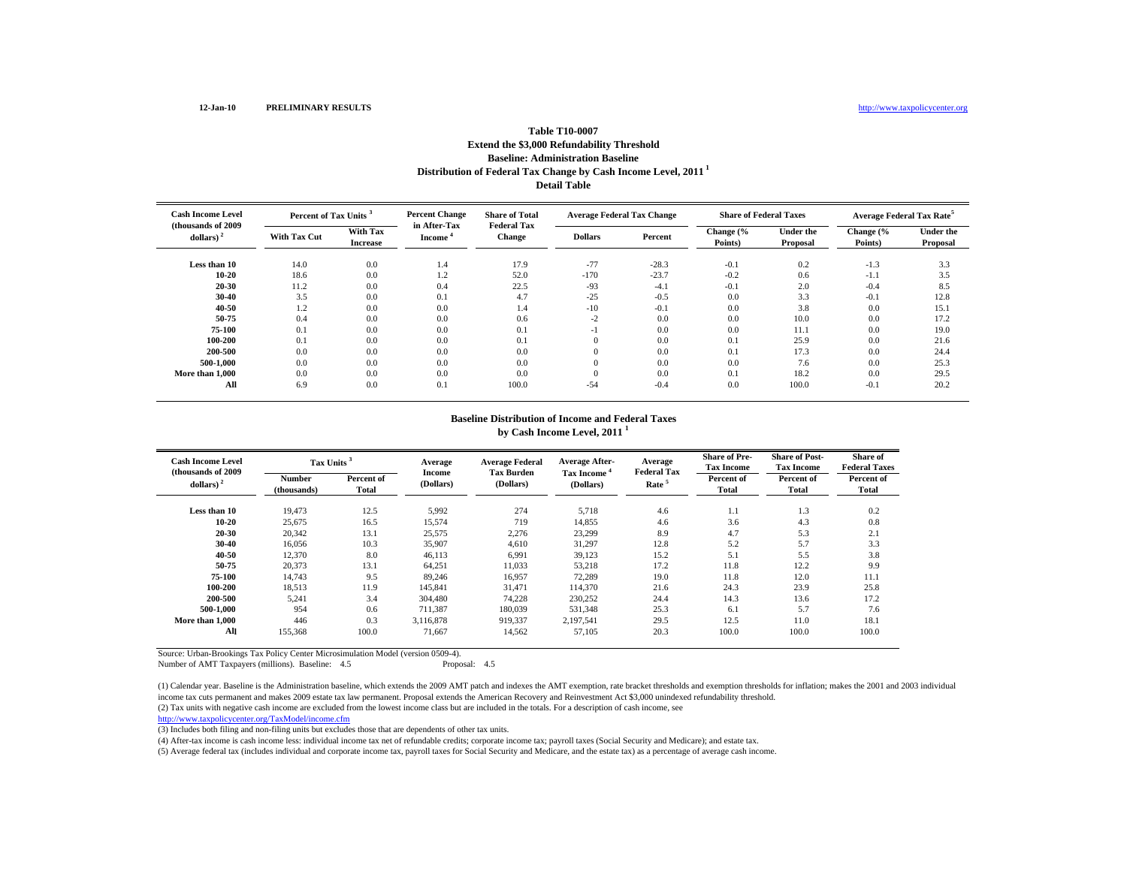## **Distribution of Federal Tax Change by Cash Income Level, 2011 1 Detail Table Table T10-0007Extend the \$3,000 Refundability Threshold Baseline: Administration Baseline**

| <b>Cash Income Level</b><br>(thousands of 2009) |                     | <b>Percent Change</b><br>Percent of Tax Units <sup>3</sup> |                               | <b>Share of Total</b><br><b>Federal Tax</b> | <b>Average Federal Tax Change</b> |         | <b>Share of Federal Taxes</b> |                              | Average Federal Tax Rate <sup>5</sup> |                              |
|-------------------------------------------------|---------------------|------------------------------------------------------------|-------------------------------|---------------------------------------------|-----------------------------------|---------|-------------------------------|------------------------------|---------------------------------------|------------------------------|
| dollars) $2$                                    | <b>With Tax Cut</b> | With Tax<br><b>Increase</b>                                | in After-Tax<br><b>Income</b> | <b>Change</b>                               | <b>Dollars</b>                    | Percent | Change (%<br>Points)          | <b>Under the</b><br>Proposal | Change (%<br>Points)                  | <b>Under the</b><br>Proposal |
| Less than 10                                    | 14.0                | 0.0                                                        | 1.4                           | 17.9                                        | $-77$                             | $-28.3$ | $-0.1$                        | 0.2                          | $-1.3$                                | 3.3                          |
| $10 - 20$                                       | 18.6                | 0.0                                                        | 1.2                           | 52.0                                        | $-170$                            | $-23.7$ | $-0.2$                        | 0.6                          | $-1.1$                                | 3.5                          |
| 20-30                                           | 11.2                | 0.0                                                        | 0.4                           | 22.5                                        | $-93$                             | $-4.1$  | $-0.1$                        | 2.0                          | $-0.4$                                | 8.5                          |
| 30-40                                           | 3.5                 | 0.0                                                        | 0.1                           | 4.7                                         | $-25$                             | $-0.5$  | 0.0                           | 3.3                          | $-0.1$                                | 12.8                         |
| 40-50                                           | 1.2                 | 0.0                                                        | 0.0                           | 1.4                                         | $-10$                             | $-0.1$  | 0.0                           | 3.8                          | 0.0                                   | 15.1                         |
| 50-75                                           | 0.4                 | 0.0                                                        | 0.0                           | 0.6                                         | $-2$                              | 0.0     | 0.0                           | 10.0                         | 0.0                                   | 17.2                         |
| 75-100                                          | 0.1                 | 0.0                                                        | 0.0                           | 0.1                                         | - 1                               | 0.0     | 0.0                           | 11.1                         | 0.0                                   | 19.0                         |
| 100-200                                         | 0.1                 | 0.0                                                        | 0.0                           | 0.1                                         | $\overline{0}$                    | 0.0     | 0.1                           | 25.9                         | 0.0                                   | 21.6                         |
| 200-500                                         | 0.0                 | 0.0                                                        | 0.0                           | 0.0                                         | $\Omega$                          | 0.0     | 0.1                           | 17.3                         | 0.0                                   | 24.4                         |
| 500-1.000                                       | 0.0                 | 0.0                                                        | 0.0                           | 0.0                                         | $\theta$                          | 0.0     | 0.0                           | 7.6                          | 0.0                                   | 25.3                         |
| More than 1,000                                 | 0.0                 | 0.0                                                        | 0.0                           | 0.0                                         | $\theta$                          | 0.0     | 0.1                           | 18.2                         | 0.0                                   | 29.5                         |
| All                                             | 6.9                 | 0.0                                                        | 0.1                           | 100.0                                       | $-54$                             | $-0.4$  | 0.0                           | 100.0                        | $-0.1$                                | 20.2                         |

#### **Baseline Distribution of Income and Federal Taxes by Cash Income Level, 2011 <sup>1</sup>**

| <b>Cash Income Level</b><br>(thousands of 2009) | Tax Units <sup>3</sup> |                     | Average                    | <b>Average Federal</b><br><b>Tax Burden</b> | <b>Average After-</b>                | Average<br><b>Federal Tax</b> | <b>Share of Pre-</b><br><b>Tax Income</b> | <b>Share of Post-</b><br><b>Tax Income</b> | Share of<br><b>Federal Taxes</b> |
|-------------------------------------------------|------------------------|---------------------|----------------------------|---------------------------------------------|--------------------------------------|-------------------------------|-------------------------------------------|--------------------------------------------|----------------------------------|
| dollars) $2$                                    | Number<br>(thousands)  | Percent of<br>Total | <b>Income</b><br>(Dollars) | (Dollars)                                   | Tax Income <sup>4</sup><br>(Dollars) | Rate <sup>5</sup>             | Percent of<br>Total                       | Percent of<br>Total                        | Percent of<br>Total              |
| Less than 10                                    | 19.473                 | 12.5                | 5,992                      | 274                                         | 5,718                                | 4.6                           | 1.1                                       | 1.3                                        | 0.2                              |
| $10 - 20$                                       | 25,675                 | 16.5                | 15,574                     | 719                                         | 14,855                               | 4.6                           | 3.6                                       | 4.3                                        | 0.8                              |
| 20-30                                           | 20,342                 | 13.1                | 25,575                     | 2,276                                       | 23,299                               | 8.9                           | 4.7                                       | 5.3                                        | 2.1                              |
| 30-40                                           | 16,056                 | 10.3                | 35,907                     | 4,610                                       | 31,297                               | 12.8                          | 5.2                                       | 5.7                                        | 3.3                              |
| 40-50                                           | 12,370                 | 8.0                 | 46,113                     | 6,991                                       | 39,123                               | 15.2                          | 5.1                                       | 5.5                                        | 3.8                              |
| 50-75                                           | 20,373                 | 13.1                | 64,251                     | 11,033                                      | 53,218                               | 17.2                          | 11.8                                      | 12.2                                       | 9.9                              |
| 75-100                                          | 14,743                 | 9.5                 | 89,246                     | 16,957                                      | 72,289                               | 19.0                          | 11.8                                      | 12.0                                       | 11.1                             |
| 100-200                                         | 18,513                 | 11.9                | 145,841                    | 31,471                                      | 114,370                              | 21.6                          | 24.3                                      | 23.9                                       | 25.8                             |
| 200-500                                         | 5,241                  | 3.4                 | 304.480                    | 74,228                                      | 230,252                              | 24.4                          | 14.3                                      | 13.6                                       | 17.2                             |
| 500-1.000                                       | 954                    | 0.6                 | 711,387                    | 180,039                                     | 531,348                              | 25.3                          | 6.1                                       | 5.7                                        | 7.6                              |
| More than 1,000                                 | 446                    | 0.3                 | 3,116,878                  | 919,337                                     | 2,197,541                            | 29.5                          | 12.5                                      | 11.0                                       | 18.1                             |
| All                                             | 155,368                | 100.0               | 71,667                     | 14,562                                      | 57,105                               | 20.3                          | 100.0                                     | 100.0                                      | 100.0                            |

Source: Urban-Brookings Tax Policy Center Microsimulation Model (version 0509-4). Number of AMT Taxpayers (millions). Baseline: 4.5

(2) Tax units with negative cash income are excluded from the lowest income class but are included in the totals. For a description of cash income, see (1) Calendar year. Baseline is the Administration baseline, which extends the 2009 AMT patch and indexes the AMT exemption, rate bracket thresholds and exemption thresholds for inflation; makes the 2001 and 2003 individual income tax cuts permanent and makes 2009 estate tax law permanent. Proposal extends the American Recovery and Reinvestment Act \$3,000 unindexed refundability threshold.

http://www.taxpolicycenter.org/TaxModel/income.cfm

(3) Includes both filing and non-filing units but excludes those that are dependents of other tax units.

(4) After-tax income is cash income less: individual income tax net of refundable credits; corporate income tax; payroll taxes (Social Security and Medicare); and estate tax.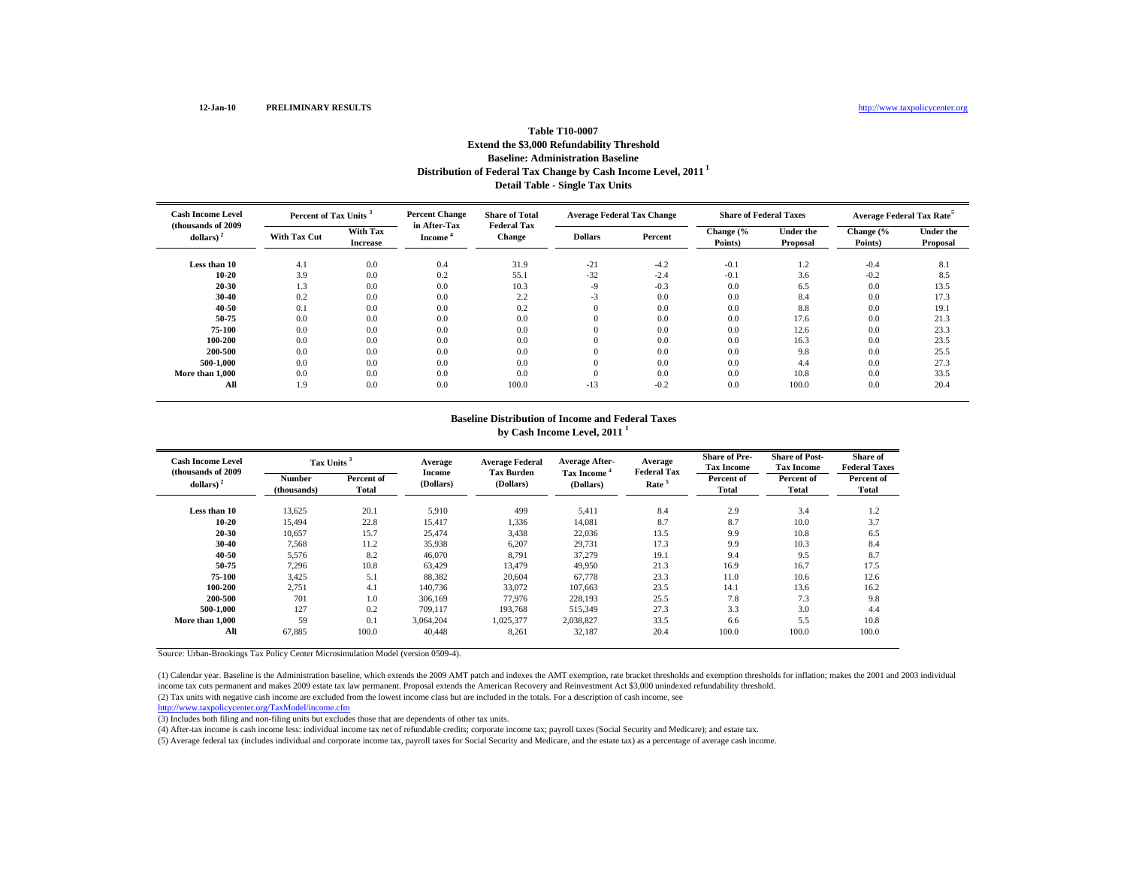#### **12-Jan-10 PRELIMINARY RESULTS**

## **Distribution of Federal Tax Change by Cash Income Level, 2011 1 Detail Table - Single Tax Units Table T10-0007Extend the \$3,000 Refundability Threshold Baseline: Administration Baseline**

| <b>Cash Income Level</b><br>(thousands of 2009) | Percent of Tax Units <sup>3</sup> |                             | <b>Percent Change</b><br>in After-Tax | <b>Share of Total</b><br><b>Federal Tax</b> | <b>Average Federal Tax Change</b> |         | <b>Share of Federal Taxes</b> |                              | <b>Average Federal Tax Rate<sup>5</sup></b> |                              |
|-------------------------------------------------|-----------------------------------|-----------------------------|---------------------------------------|---------------------------------------------|-----------------------------------|---------|-------------------------------|------------------------------|---------------------------------------------|------------------------------|
| dollars) $2$                                    | <b>With Tax Cut</b>               | With Tax<br><b>Increase</b> | <b>Income</b>                         | <b>Change</b>                               | <b>Dollars</b>                    | Percent | Change (%<br>Points)          | <b>Under the</b><br>Proposal | Change (%<br>Points)                        | <b>Under the</b><br>Proposal |
| Less than 10                                    | 4.1                               | 0.0                         | 0.4                                   | 31.9                                        | $-21$                             | $-4.2$  | $-0.1$                        | 1.2                          | $-0.4$                                      | 8.1                          |
| $10 - 20$                                       | 3.9                               | 0.0                         | 0.2                                   | 55.1                                        | $-32$                             | $-2.4$  | $-0.1$                        | 3.6                          | $-0.2$                                      | 8.5                          |
| 20-30                                           | 1.3                               | 0.0                         | 0.0                                   | 10.3                                        | $-9$                              | $-0.3$  | 0.0                           | 6.5                          | 0.0                                         | 13.5                         |
| 30-40                                           | 0.2                               | 0.0                         | 0.0                                   | 2.2                                         | $-3$                              | 0.0     | 0.0                           | 8.4                          | 0.0                                         | 17.3                         |
| 40-50                                           | 0.1                               | 0.0                         | 0.0                                   | 0.2                                         | $\overline{0}$                    | 0.0     | 0.0                           | 8.8                          | 0.0                                         | 19.1                         |
| 50-75                                           | 0.0                               | 0.0                         | 0.0                                   | 0.0                                         |                                   | 0.0     | 0.0                           | 17.6                         | 0.0                                         | 21.3                         |
| 75-100                                          | 0.0                               | 0.0                         | 0.0                                   | 0.0                                         |                                   | 0.0     | 0.0                           | 12.6                         | 0.0                                         | 23.3                         |
| 100-200                                         | 0.0                               | 0.0                         | 0.0                                   | 0.0                                         | $\Omega$                          | 0.0     | 0.0                           | 16.3                         | 0.0                                         | 23.5                         |
| 200-500                                         | 0.0                               | 0.0                         | 0.0                                   | 0.0                                         | $\Omega$                          | 0.0     | 0.0                           | 9.8                          | 0.0                                         | 25.5                         |
| 500-1.000                                       | 0.0                               | 0.0                         | 0.0                                   | 0.0                                         | $\theta$                          | 0.0     | 0.0                           | 4.4                          | 0.0                                         | 27.3                         |
| More than 1.000                                 | 0.0                               | 0.0                         | 0.0                                   | 0.0                                         |                                   | 0.0     | 0.0                           | 10.8                         | 0.0                                         | 33.5                         |
| All                                             | 1.9                               | 0.0                         | 0.0                                   | 100.0                                       | $-13$                             | $-0.2$  | 0.0                           | 100.0                        | 0.0                                         | 20.4                         |

#### **Baseline Distribution of Income and Federal Taxes by Cash Income Level, 2011 <sup>1</sup>**

| <b>Cash Income Level</b><br>(thousands of 2009) |                              | <b>Tax Units</b>    |                            | <b>Average Federal</b><br><b>Tax Burden</b> | <b>Average After-</b>   | Average<br><b>Federal Tax</b> | <b>Share of Pre-</b><br><b>Tax Income</b> | <b>Share of Post-</b><br><b>Tax Income</b> | Share of<br><b>Federal Taxes</b> |
|-------------------------------------------------|------------------------------|---------------------|----------------------------|---------------------------------------------|-------------------------|-------------------------------|-------------------------------------------|--------------------------------------------|----------------------------------|
| dollars) $2$                                    | <b>Number</b><br>(thousands) | Percent of<br>Total | <b>Income</b><br>(Dollars) | (Dollars)                                   | Tax Income<br>(Dollars) | Rate <sup>5</sup>             | Percent of<br><b>Total</b>                | Percent of<br>Total                        | Percent of<br>Total              |
| Less than 10                                    | 13,625                       | 20.1                | 5,910                      | 499                                         | 5,411                   | 8.4                           | 2.9                                       | 3.4                                        | 1.2                              |
| $10 - 20$                                       | 15.494                       | 22.8                | 15.417                     | 1,336                                       | 14.081                  | 8.7                           | 8.7                                       | 10.0                                       | 3.7                              |
| 20-30                                           | 10,657                       | 15.7                | 25,474                     | 3,438                                       | 22,036                  | 13.5                          | 9.9                                       | 10.8                                       | 6.5                              |
| 30-40                                           | 7,568                        | 11.2                | 35,938                     | 6,207                                       | 29,731                  | 17.3                          | 9.9                                       | 10.3                                       | 8.4                              |
| 40-50                                           | 5,576                        | 8.2                 | 46,070                     | 8,791                                       | 37,279                  | 19.1                          | 9.4                                       | 9.5                                        | 8.7                              |
| 50-75                                           | 7.296                        | 10.8                | 63.429                     | 13.479                                      | 49,950                  | 21.3                          | 16.9                                      | 16.7                                       | 17.5                             |
| 75-100                                          | 3,425                        | 5.1                 | 88,382                     | 20,604                                      | 67,778                  | 23.3                          | 11.0                                      | 10.6                                       | 12.6                             |
| 100-200                                         | 2,751                        | 4.1                 | 140,736                    | 33,072                                      | 107.663                 | 23.5                          | 14.1                                      | 13.6                                       | 16.2                             |
| 200-500                                         | 701                          | 1.0                 | 306,169                    | 77,976                                      | 228,193                 | 25.5                          | 7.8                                       | 7.3                                        | 9.8                              |
| 500-1.000                                       | 127                          | 0.2                 | 709.117                    | 193.768                                     | 515,349                 | 27.3                          | 3.3                                       | 3.0                                        | 4.4                              |
| More than 1,000                                 | 59                           | 0.1                 | 3.064.204                  | 1,025,377                                   | 2.038.827               | 33.5                          | 6.6                                       | 5.5                                        | 10.8                             |
| All                                             | 67,885                       | 100.0               | 40,448                     | 8,261                                       | 32,187                  | 20.4                          | 100.0                                     | 100.0                                      | 100.0                            |

Source: Urban-Brookings Tax Policy Center Microsimulation Model (version 0509-4).

(1) Calendar year. Baseline is the Administration baseline, which extends the 2009 AMT patch and indexes the AMT exemption, rate bracket thresholds and exemption thresholds for inflation; makes the 2001 and 2003 individual income tax cuts permanent and makes 2009 estate tax law permanent. Proposal extends the American Recovery and Reinvestment Act \$3,000 unindexed refundability threshold.

(2) Tax units with negative cash income are excluded from the lowest income class but are included in the totals. For a description of cash income, see

http://www.taxpolicycenter.org/TaxModel/income.cfm

(3) Includes both filing and non-filing units but excludes those that are dependents of other tax units.

(4) After-tax income is cash income less: individual income tax net of refundable credits; corporate income tax; payroll taxes (Social Security and Medicare); and estate tax.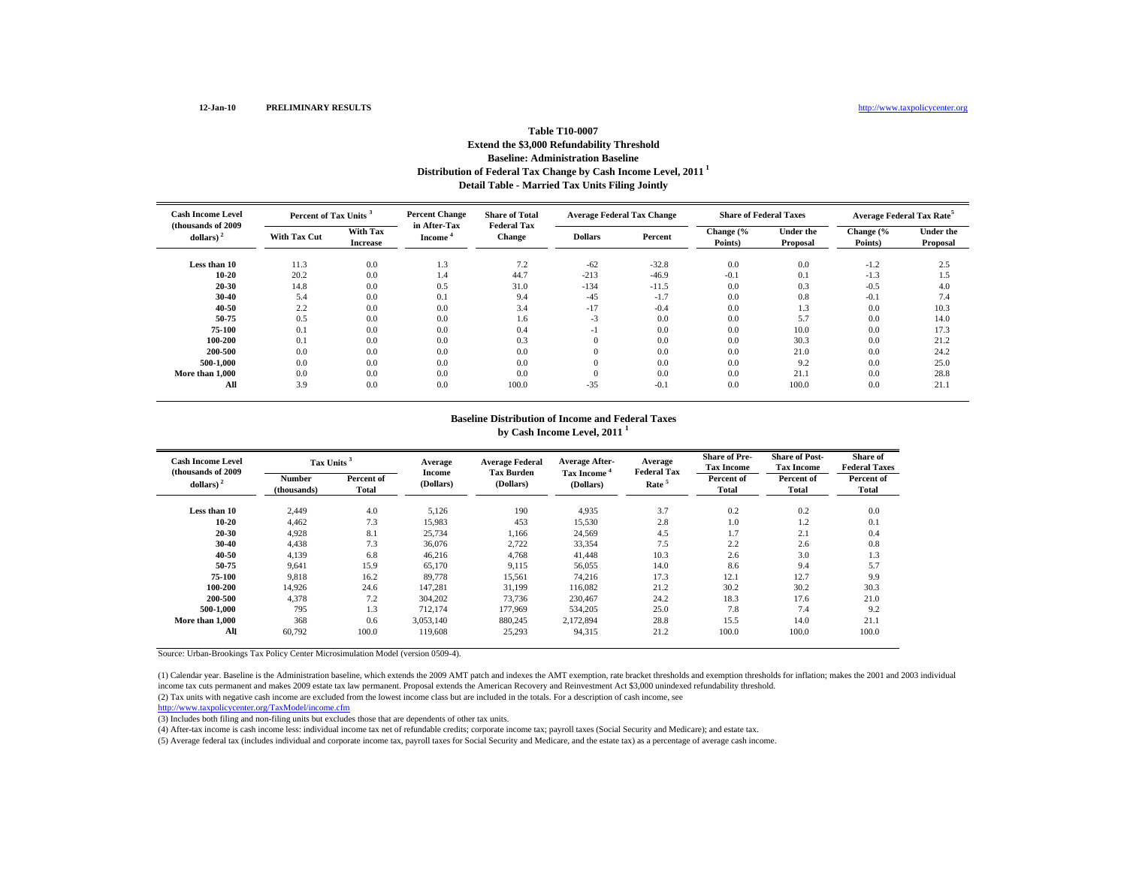## **Distribution of Federal Tax Change by Cash Income Level, 2011 1 Detail Table - Married Tax Units Filing Jointly Table T10-0007Extend the \$3,000 Refundability Threshold Baseline: Administration Baseline**

| <b>Cash Income Level</b><br>(thousands of 2009) | Percent of Tax Units <sup>3</sup> |                             | <b>Percent Change</b><br>in After-Tax | <b>Share of Total</b><br><b>Federal Tax</b> | <b>Average Federal Tax Change</b> |         | <b>Share of Federal Taxes</b> |                              | <b>Average Federal Tax Rate<sup>5</sup></b> |                              |
|-------------------------------------------------|-----------------------------------|-----------------------------|---------------------------------------|---------------------------------------------|-----------------------------------|---------|-------------------------------|------------------------------|---------------------------------------------|------------------------------|
| dollars) $2$                                    | <b>With Tax Cut</b>               | With Tax<br><b>Increase</b> | <b>Income</b>                         | <b>Change</b>                               | <b>Dollars</b>                    | Percent | Change (%<br>Points)          | <b>Under the</b><br>Proposal | Change (%<br>Points)                        | <b>Under the</b><br>Proposal |
| Less than 10                                    | 11.3                              | 0.0                         | 1.3                                   | 7.2                                         | $-62$                             | $-32.8$ | 0.0                           | 0.0                          | $-1.2$                                      | 2.5                          |
| $10 - 20$                                       | 20.2                              | 0.0                         | 1.4                                   | 44.7                                        | $-213$                            | $-46.9$ | $-0.1$                        | 0.1                          | $-1.3$                                      | 1.5                          |
| 20-30                                           | 14.8                              | 0.0                         | 0.5                                   | 31.0                                        | $-134$                            | $-11.5$ | 0.0                           | 0.3                          | $-0.5$                                      | 4.0                          |
| $30 - 40$                                       | 5.4                               | 0.0                         | 0.1                                   | 9.4                                         | $-45$                             | $-1.7$  | 0.0                           | 0.8                          | $-0.1$                                      | 7.4                          |
| 40-50                                           | 2.2                               | 0.0                         | 0.0                                   | 3.4                                         | $-17$                             | $-0.4$  | 0.0                           | 1.3                          | 0.0                                         | 10.3                         |
| 50-75                                           | 0.5                               | 0.0                         | 0.0                                   | 1.6                                         | $-3$                              | 0.0     | 0.0                           | 5.7                          | 0.0                                         | 14.0                         |
| 75-100                                          | 0.1                               | 0.0                         | 0.0                                   | 0.4                                         | $-1$                              | 0.0     | 0.0                           | 10.0                         | 0.0                                         | 17.3                         |
| 100-200                                         | 0.1                               | 0.0                         | 0.0                                   | 0.3                                         | $\mathbf{0}$                      | 0.0     | 0.0                           | 30.3                         | 0.0                                         | 21.2                         |
| 200-500                                         | 0.0                               | 0.0                         | 0.0                                   | 0.0                                         | $\mathbf{0}$                      | 0.0     | 0.0                           | 21.0                         | 0.0                                         | 24.2                         |
| 500-1.000                                       | 0.0                               | 0.0                         | 0.0                                   | 0.0                                         | $\mathbf{0}$                      | 0.0     | 0.0                           | 9.2                          | 0.0                                         | 25.0                         |
| More than 1.000                                 | 0.0                               | 0.0                         | 0.0                                   | 0.0                                         | $\mathbf{0}$                      | 0.0     | 0.0                           | 21.1                         | 0.0                                         | 28.8                         |
| All                                             | 3.9                               | 0.0                         | 0.0                                   | 100.0                                       | $-35$                             | $-0.1$  | 0.0                           | 100.0                        | 0.0                                         | 21.1                         |

#### **Baseline Distribution of Income and Federal Taxes by Cash Income Level, 2011 <sup>1</sup>**

| <b>Cash Income Level</b><br>(thousands of 2009) | Tax Units <sup>3</sup> |                     | Average<br>Income | <b>Average Federal</b><br><b>Tax Burden</b> | <b>Average After-</b>                | Average<br><b>Federal Tax</b> | <b>Share of Pre-</b><br><b>Tax Income</b> | <b>Share of Post-</b><br><b>Tax Income</b> | Share of<br><b>Federal Taxes</b> |
|-------------------------------------------------|------------------------|---------------------|-------------------|---------------------------------------------|--------------------------------------|-------------------------------|-------------------------------------------|--------------------------------------------|----------------------------------|
| dollars) $2$                                    | Number<br>(thousands)  | Percent of<br>Total | (Dollars)         | (Dollars)                                   | Tax Income <sup>4</sup><br>(Dollars) | Rate <sup>5</sup>             | Percent of<br>Total                       | Percent of<br>Total                        | Percent of<br>Total              |
| Less than 10                                    | 2.449                  | 4.0                 | 5,126             | 190                                         | 4,935                                | 3.7                           | 0.2                                       | 0.2                                        | 0.0                              |
| $10 - 20$                                       | 4.462                  | 7.3                 | 15,983            | 453                                         | 15,530                               | 2.8                           | 1.0                                       | 1.2                                        | 0.1                              |
| 20-30                                           | 4,928                  | 8.1                 | 25,734            | 1,166                                       | 24,569                               | 4.5                           | 1.7                                       | 2.1                                        | 0.4                              |
| 30-40                                           | 4,438                  | 7.3                 | 36,076            | 2,722                                       | 33,354                               | 7.5                           | 2.2                                       | 2.6                                        | 0.8                              |
| 40-50                                           | 4,139                  | 6.8                 | 46,216            | 4,768                                       | 41,448                               | 10.3                          | 2.6                                       | 3.0                                        | 1.3                              |
| 50-75                                           | 9,641                  | 15.9                | 65,170            | 9,115                                       | 56,055                               | 14.0                          | 8.6                                       | 9.4                                        | 5.7                              |
| 75-100                                          | 9,818                  | 16.2                | 89,778            | 15,561                                      | 74,216                               | 17.3                          | 12.1                                      | 12.7                                       | 9.9                              |
| 100-200                                         | 14.926                 | 24.6                | 147.281           | 31,199                                      | 116,082                              | 21.2                          | 30.2                                      | 30.2                                       | 30.3                             |
| 200-500                                         | 4.378                  | 7.2                 | 304.202           | 73,736                                      | 230,467                              | 24.2                          | 18.3                                      | 17.6                                       | 21.0                             |
| 500-1.000                                       | 795                    | 1.3                 | 712,174           | 177,969                                     | 534,205                              | 25.0                          | 7.8                                       | 7.4                                        | 9.2                              |
| More than 1.000                                 | 368                    | 0.6                 | 3,053,140         | 880,245                                     | 2,172,894                            | 28.8                          | 15.5                                      | 14.0                                       | 21.1                             |
| All                                             | 60,792                 | 100.0               | 119,608           | 25,293                                      | 94,315                               | 21.2                          | 100.0                                     | 100.0                                      | 100.0                            |

Source: Urban-Brookings Tax Policy Center Microsimulation Model (version 0509-4).

(1) Calendar year. Baseline is the Administration baseline, which extends the 2009 AMT patch and indexes the AMT exemption, rate bracket thresholds and exemption thresholds for inflation; makes the 2001 and 2003 individual income tax cuts permanent and makes 2009 estate tax law permanent. Proposal extends the American Recovery and Reinvestment Act \$3,000 unindexed refundability threshold.

(2) Tax units with negative cash income are excluded from the lowest income class but are included in the totals. For a description of cash income, see

http://www.taxpolicycenter.org/TaxModel/income.cfm

(3) Includes both filing and non-filing units but excludes those that are dependents of other tax units.

(4) After-tax income is cash income less: individual income tax net of refundable credits; corporate income tax; payroll taxes (Social Security and Medicare); and estate tax.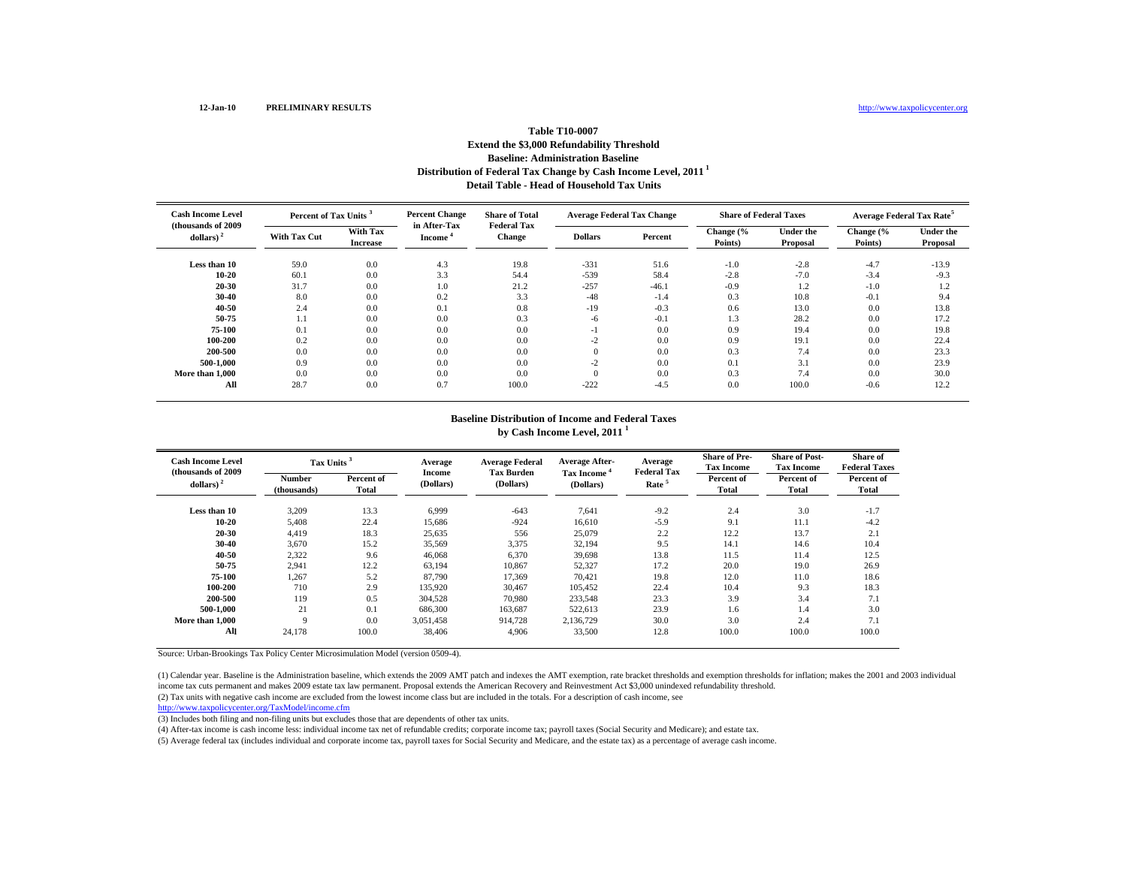## **Distribution of Federal Tax Change by Cash Income Level, 2011 1 Detail Table - Head of Household Tax Units Table T10-0007Extend the \$3,000 Refundability Threshold Baseline: Administration Baseline**

| <b>Cash Income Level</b><br>(thousands of 2009) |                     | Percent of Tax Units <sup>3</sup> |                        | <b>Share of Total</b><br><b>Federal Tax</b> | <b>Average Federal Tax Change</b> |         | <b>Share of Federal Taxes</b> |                              | <b>Average Federal Tax Rate<sup>5</sup></b> |                              |
|-------------------------------------------------|---------------------|-----------------------------------|------------------------|---------------------------------------------|-----------------------------------|---------|-------------------------------|------------------------------|---------------------------------------------|------------------------------|
| dollars) $2$                                    | <b>With Tax Cut</b> | With Tax<br><b>Increase</b>       | in After-Tax<br>Income | Change                                      | <b>Dollars</b>                    | Percent | Change (%<br>Points)          | <b>Under the</b><br>Proposal | Change (%<br>Points)                        | <b>Under the</b><br>Proposal |
| Less than 10                                    | 59.0                | 0.0                               | 4.3                    | 19.8                                        | $-331$                            | 51.6    | $-1.0$                        | $-2.8$                       | $-4.7$                                      | $-13.9$                      |
| $10 - 20$                                       | 60.1                | 0.0                               | 3.3                    | 54.4                                        | $-539$                            | 58.4    | $-2.8$                        | $-7.0$                       | $-3.4$                                      | $-9.3$                       |
| 20-30                                           | 31.7                | 0.0                               | 1.0                    | 21.2                                        | $-257$                            | $-46.1$ | $-0.9$                        | 1.2                          | $-1.0$                                      | 1.2                          |
| 30-40                                           | 8.0                 | 0.0                               | 0.2                    | 3.3                                         | $-48$                             | $-1.4$  | 0.3                           | 10.8                         | $-0.1$                                      | 9.4                          |
| 40-50                                           | 2.4                 | 0.0                               | 0.1                    | 0.8                                         | $-19$                             | $-0.3$  | 0.6                           | 13.0                         | 0.0                                         | 13.8                         |
| 50-75                                           | 1.1                 | 0.0                               | 0.0                    | 0.3                                         | -6                                | $-0.1$  | 1.3                           | 28.2                         | 0.0                                         | 17.2                         |
| 75-100                                          | 0.1                 | 0.0                               | 0.0                    | 0.0                                         | -1                                | 0.0     | 0.9                           | 19.4                         | 0.0                                         | 19.8                         |
| 100-200                                         | 0.2                 | 0.0                               | 0.0                    | 0.0                                         | $-2$                              | 0.0     | 0.9                           | 19.1                         | 0.0                                         | 22.4                         |
| 200-500                                         | 0.0                 | 0.0                               | 0.0                    | 0.0                                         | $\overline{0}$                    | 0.0     | 0.3                           | 7.4                          | 0.0                                         | 23.3                         |
| 500-1.000                                       | 0.9                 | 0.0                               | 0.0                    | 0.0                                         | $-2$                              | 0.0     | 0.1                           | 3.1                          | 0.0                                         | 23.9                         |
| More than 1.000                                 | 0.0                 | 0.0                               | 0.0                    | 0.0                                         | $\Omega$                          | 0.0     | 0.3                           | 7.4                          | 0.0                                         | 30.0                         |
| All                                             | 28.7                | 0.0                               | 0.7                    | 100.0                                       | $-222$                            | $-4.5$  | 0.0                           | 100.0                        | $-0.6$                                      | 12.2                         |

#### **Baseline Distribution of Income and Federal Taxes by Cash Income Level, 2011 <sup>1</sup>**

| <b>Cash Income Level</b><br>(thousands of 2009) | Tax Units <sup>3</sup> |                     | Average<br><b>Income</b> | <b>Average Federal</b><br><b>Tax Burden</b> | <b>Average After-</b>                | Average<br><b>Federal Tax</b> | <b>Share of Pre-</b><br><b>Tax Income</b> | <b>Share of Post-</b><br><b>Tax Income</b> | <b>Share of</b><br><b>Federal Taxes</b> |
|-------------------------------------------------|------------------------|---------------------|--------------------------|---------------------------------------------|--------------------------------------|-------------------------------|-------------------------------------------|--------------------------------------------|-----------------------------------------|
| dollars) $2$                                    | Number<br>(thousands)  | Percent of<br>Total | (Dollars)                | (Dollars)                                   | Tax Income <sup>4</sup><br>(Dollars) | Rate <sup>5</sup>             | Percent of<br><b>Total</b>                | Percent of<br>Total                        | Percent of<br>Total                     |
| Less than 10                                    | 3,209                  | 13.3                | 6,999                    | $-643$                                      | 7,641                                | $-9.2$                        | 2.4                                       | 3.0                                        | $-1.7$                                  |
| $10 - 20$                                       | 5,408                  | 22.4                | 15.686                   | $-924$                                      | 16,610                               | $-5.9$                        | 9.1                                       | 11.1                                       | $-4.2$                                  |
| 20-30                                           | 4,419                  | 18.3                | 25,635                   | 556                                         | 25,079                               | 2.2                           | 12.2                                      | 13.7                                       | 2.1                                     |
| 30-40                                           | 3,670                  | 15.2                | 35,569                   | 3,375                                       | 32,194                               | 9.5                           | 14.1                                      | 14.6                                       | 10.4                                    |
| 40-50                                           | 2,322                  | 9.6                 | 46,068                   | 6,370                                       | 39,698                               | 13.8                          | 11.5                                      | 11.4                                       | 12.5                                    |
| 50-75                                           | 2,941                  | 12.2                | 63.194                   | 10,867                                      | 52,327                               | 17.2                          | 20.0                                      | 19.0                                       | 26.9                                    |
| 75-100                                          | 1,267                  | 5.2                 | 87,790                   | 17,369                                      | 70,421                               | 19.8                          | 12.0                                      | 11.0                                       | 18.6                                    |
| 100-200                                         | 710                    | 2.9                 | 135.920                  | 30,467                                      | 105.452                              | 22.4                          | 10.4                                      | 9.3                                        | 18.3                                    |
| 200-500                                         | 119                    | 0.5                 | 304.528                  | 70,980                                      | 233,548                              | 23.3                          | 3.9                                       | 3.4                                        | 7.1                                     |
| 500-1.000                                       | 21                     | 0.1                 | 686,300                  | 163,687                                     | 522,613                              | 23.9                          | 1.6                                       | 1.4                                        | 3.0                                     |
| More than 1,000                                 | $\mathbf Q$            | 0.0                 | 3.051.458                | 914.728                                     | 2.136.729                            | 30.0                          | 3.0                                       | 2.4                                        | 7.1                                     |
| All                                             | 24,178                 | 100.0               | 38,406                   | 4,906                                       | 33,500                               | 12.8                          | 100.0                                     | 100.0                                      | 100.0                                   |

Source: Urban-Brookings Tax Policy Center Microsimulation Model (version 0509-4).

(1) Calendar year. Baseline is the Administration baseline, which extends the 2009 AMT patch and indexes the AMT exemption, rate bracket thresholds and exemption thresholds for inflation; makes the 2001 and 2003 individual income tax cuts permanent and makes 2009 estate tax law permanent. Proposal extends the American Recovery and Reinvestment Act \$3,000 unindexed refundability threshold.

(2) Tax units with negative cash income are excluded from the lowest income class but are included in the totals. For a description of cash income, see

http://www.taxpolicycenter.org/TaxModel/income.cfm

(3) Includes both filing and non-filing units but excludes those that are dependents of other tax units.

(4) After-tax income is cash income less: individual income tax net of refundable credits; corporate income tax; payroll taxes (Social Security and Medicare); and estate tax.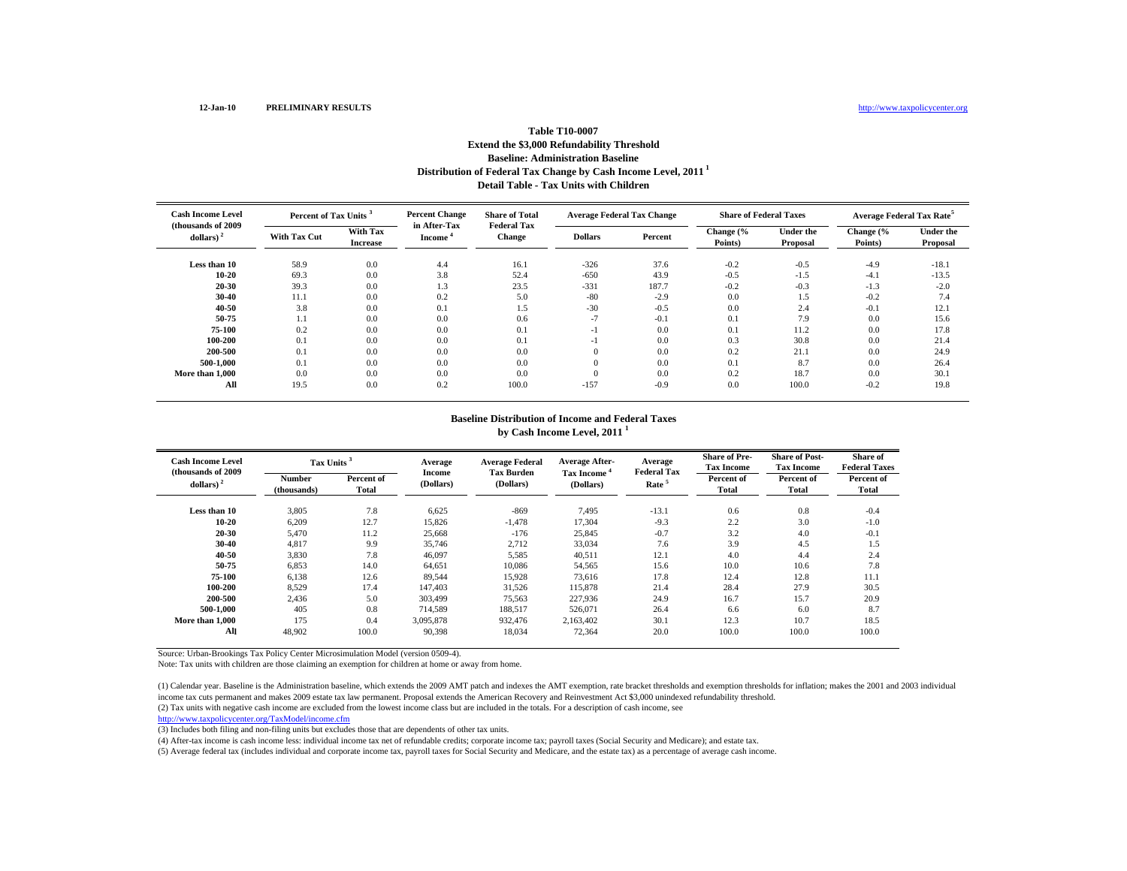## **Distribution of Federal Tax Change by Cash Income Level, 2011 1 Detail Table - Tax Units with Children Table T10-0007Extend the \$3,000 Refundability Threshold Baseline: Administration Baseline**

| <b>Cash Income Level</b><br>(thousands of 2009) | Percent of Tax Units <sup>3</sup> |                             | <b>Percent Change</b><br>in After-Tax | <b>Share of Total</b><br><b>Federal Tax</b> | <b>Average Federal Tax Change</b> |         | <b>Share of Federal Taxes</b> |                              | <b>Average Federal Tax Rate<sup>5</sup></b> |                              |
|-------------------------------------------------|-----------------------------------|-----------------------------|---------------------------------------|---------------------------------------------|-----------------------------------|---------|-------------------------------|------------------------------|---------------------------------------------|------------------------------|
| dollars) $2$                                    | <b>With Tax Cut</b>               | With Tax<br><b>Increase</b> | <b>Income</b>                         | <b>Change</b>                               | <b>Dollars</b>                    | Percent | Change (%<br>Points)          | <b>Under the</b><br>Proposal | Change (%<br>Points)                        | <b>Under the</b><br>Proposal |
| Less than 10                                    | 58.9                              | 0.0                         | 4.4                                   | 16.1                                        | $-326$                            | 37.6    | $-0.2$                        | $-0.5$                       | $-4.9$                                      | $-18.1$                      |
| $10 - 20$                                       | 69.3                              | 0.0                         | 3.8                                   | 52.4                                        | $-650$                            | 43.9    | $-0.5$                        | $-1.5$                       | $-4.1$                                      | $-13.5$                      |
| 20-30                                           | 39.3                              | 0.0                         | 1.3                                   | 23.5                                        | $-331$                            | 187.7   | $-0.2$                        | $-0.3$                       | $-1.3$                                      | $-2.0$                       |
| $30 - 40$                                       | 11.1                              | 0.0                         | 0.2                                   | 5.0                                         | $-80$                             | $-2.9$  | 0.0                           | 1.5                          | $-0.2$                                      | 7.4                          |
| 40-50                                           | 3.8                               | 0.0                         | 0.1                                   | 1.5                                         | $-30$                             | $-0.5$  | 0.0                           | 2.4                          | $-0.1$                                      | 12.1                         |
| 50-75                                           | 1.1                               | 0.0                         | 0.0                                   | 0.6                                         | $-7$                              | $-0.1$  | 0.1                           | 7.9                          | 0.0                                         | 15.6                         |
| 75-100                                          | 0.2                               | 0.0                         | 0.0                                   | 0.1                                         | $-1$                              | 0.0     | 0.1                           | 11.2                         | 0.0                                         | 17.8                         |
| 100-200                                         | 0.1                               | 0.0                         | 0.0                                   | 0.1                                         | $-1$                              | 0.0     | 0.3                           | 30.8                         | 0.0                                         | 21.4                         |
| 200-500                                         | 0.1                               | 0.0                         | 0.0                                   | 0.0                                         | $\mathbf{0}$                      | 0.0     | 0.2                           | 21.1                         | 0.0                                         | 24.9                         |
| 500-1.000                                       | 0.1                               | 0.0                         | 0.0                                   | 0.0                                         | $\mathbf{0}$                      | 0.0     | 0.1                           | 8.7                          | 0.0                                         | 26.4                         |
| More than 1,000                                 | 0.0                               | 0.0                         | 0.0                                   | 0.0                                         |                                   | 0.0     | 0.2                           | 18.7                         | 0.0                                         | 30.1                         |
| All                                             | 19.5                              | 0.0                         | 0.2                                   | 100.0                                       | $-157$                            | $-0.9$  | 0.0                           | 100.0                        | $-0.2$                                      | 19.8                         |

#### **Baseline Distribution of Income and Federal Taxes by Cash Income Level, 2011 <sup>1</sup>**

| <b>Cash Income Level</b><br>(thousands of 2009) | Tax Units <sup>3</sup>       |                     | Average<br>Income | <b>Average Federal</b><br><b>Tax Burden</b> | <b>Average After-</b><br>Tax Income <sup>4</sup> | Average<br><b>Federal Tax</b> | <b>Share of Pre-</b><br><b>Tax Income</b> | <b>Share of Post-</b><br><b>Tax Income</b> | Share of<br><b>Federal Taxes</b> |
|-------------------------------------------------|------------------------------|---------------------|-------------------|---------------------------------------------|--------------------------------------------------|-------------------------------|-------------------------------------------|--------------------------------------------|----------------------------------|
| dollars) $2$                                    | <b>Number</b><br>(thousands) | Percent of<br>Total | (Dollars)         | (Dollars)                                   | (Dollars)                                        | Rate <sup>5</sup>             | Percent of<br>Total                       | Percent of<br>Total                        | Percent of<br>Total              |
| Less than 10                                    | 3,805                        | 7.8                 | 6,625             | $-869$                                      | 7,495                                            | $-13.1$                       | 0.6                                       | 0.8                                        | $-0.4$                           |
| $10 - 20$                                       | 6,209                        | 12.7                | 15,826            | $-1,478$                                    | 17,304                                           | $-9.3$                        | 2.2                                       | 3.0                                        | $-1.0$                           |
| 20-30                                           | 5,470                        | 11.2                | 25,668            | $-176$                                      | 25,845                                           | $-0.7$                        | 3.2                                       | 4.0                                        | $-0.1$                           |
| 30-40                                           | 4,817                        | 9.9                 | 35,746            | 2,712                                       | 33,034                                           | 7.6                           | 3.9                                       | 4.5                                        | 1.5                              |
| 40-50                                           | 3,830                        | 7.8                 | 46,097            | 5,585                                       | 40,511                                           | 12.1                          | 4.0                                       | 4.4                                        | 2.4                              |
| 50-75                                           | 6,853                        | 14.0                | 64,651            | 10,086                                      | 54,565                                           | 15.6                          | 10.0                                      | 10.6                                       | 7.8                              |
| 75-100                                          | 6,138                        | 12.6                | 89,544            | 15,928                                      | 73,616                                           | 17.8                          | 12.4                                      | 12.8                                       | 11.1                             |
| 100-200                                         | 8,529                        | 17.4                | 147,403           | 31,526                                      | 115,878                                          | 21.4                          | 28.4                                      | 27.9                                       | 30.5                             |
| 200-500                                         | 2,436                        | 5.0                 | 303.499           | 75,563                                      | 227,936                                          | 24.9                          | 16.7                                      | 15.7                                       | 20.9                             |
| 500-1.000                                       | 405                          | 0.8                 | 714.589           | 188,517                                     | 526,071                                          | 26.4                          | 6.6                                       | 6.0                                        | 8.7                              |
| More than 1,000                                 | 175                          | 0.4                 | 3,095,878         | 932,476                                     | 2.163.402                                        | 30.1                          | 12.3                                      | 10.7                                       | 18.5                             |
| All                                             | 48,902                       | 100.0               | 90,398            | 18,034                                      | 72,364                                           | 20.0                          | 100.0                                     | 100.0                                      | 100.0                            |

Source: Urban-Brookings Tax Policy Center Microsimulation Model (version 0509-4).

Note: Tax units with children are those claiming an exemption for children at home or away from home.

(2) Tax units with negative cash income are excluded from the lowest income class but are included in the totals. For a description of cash income, see http://www.taxpolicycenter.org/TaxModel/income.cfm (1) Calendar year. Baseline is the Administration baseline, which extends the 2009 AMT patch and indexes the AMT exemption, rate bracket thresholds and exemption thresholds for inflation; makes the 2001 and 2003 individual income tax cuts permanent and makes 2009 estate tax law permanent. Proposal extends the American Recovery and Reinvestment Act \$3,000 unindexed refundability threshold.

(3) Includes both filing and non-filing units but excludes those that are dependents of other tax units.

(4) After-tax income is cash income less: individual income tax net of refundable credits; corporate income tax; payroll taxes (Social Security and Medicare); and estate tax.